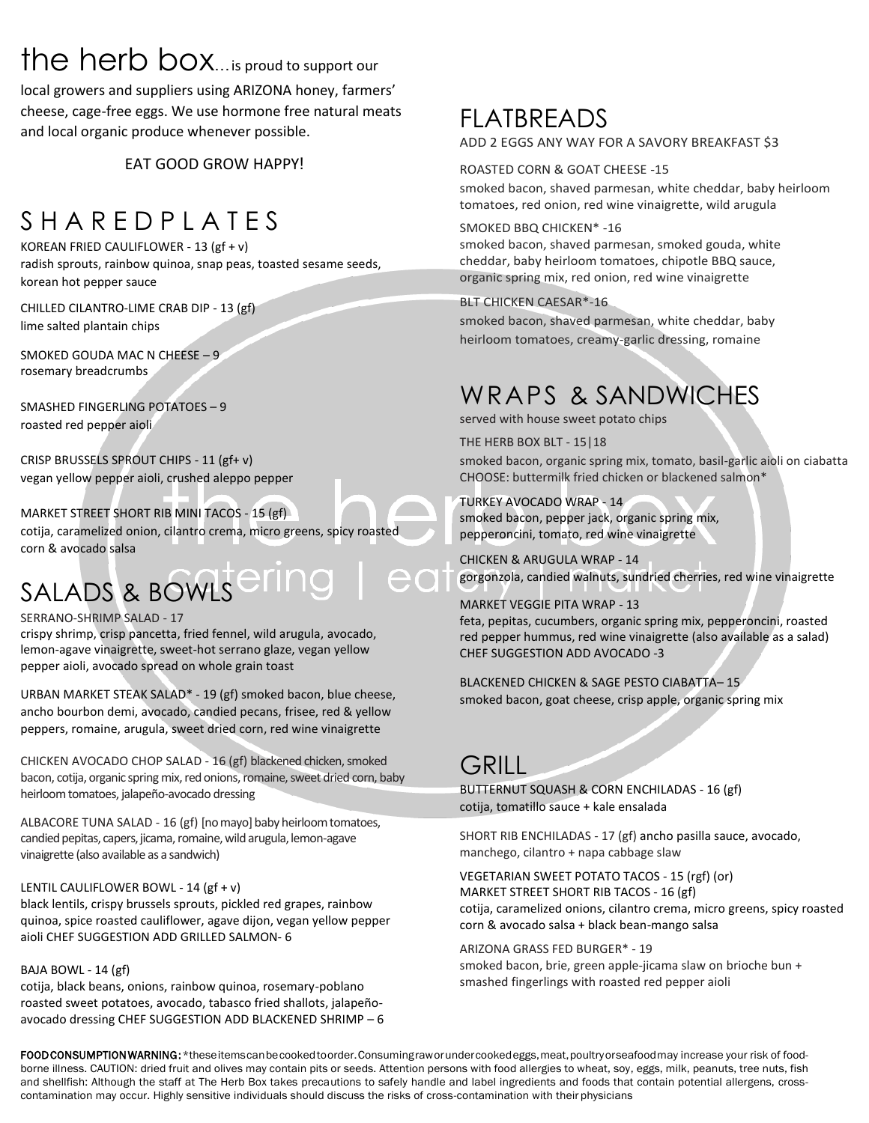## the herb box... is proud to support our

local growers and suppliers using ARIZONA honey, farmers' cheese, cage-free eggs. We use hormone free natural meats and local organic produce whenever possible.

EAT GOOD GROW HAPPY!

## S H A R F D P L A T F S

KOREAN FRIED CAULIFLOWER - 13 (gf + v) radish sprouts, rainbow quinoa, snap peas, toasted sesame seeds, korean hot pepper sauce

CHILLED CILANTRO-LIME CRAB DIP - 13 (gf) lime salted plantain chips

SMOKED GOUDA MAC N CHEESE – 9 rosemary breadcrumbs

SMASHED FINGERLING POTATOES – 9 roasted red pepper aioli

CRISP BRUSSELS SPROUT CHIPS - 11 (gf+ v) vegan yellow pepper aioli, crushed aleppo pepper

MARKET STREET SHORT RIB MINI TACOS - 15 (gf) cotija, caramelized onion, cilantro crema, micro greens, spicy roasted corn & avocado salsa

# SALADS & BOWLS<sup>ering</sup>

#### SERRANO-SHRIMP SALAD - 17

crispy shrimp, crisp pancetta, fried fennel, wild arugula, avocado, lemon-agave vinaigrette, sweet-hot serrano glaze, vegan yellow pepper aioli, avocado spread on whole grain toast

URBAN MARKET STEAK SALAD\* - 19 (gf) smoked bacon, blue cheese, ancho bourbon demi, avocado, candied pecans, frisee, red & yellow peppers, romaine, arugula, sweet dried corn, red wine vinaigrette

CHICKEN AVOCADO CHOP SALAD - 16 (gf) blackened chicken, smoked bacon, cotija, organic spring mix, red onions, romaine, sweet dried corn, baby heirloom tomatoes, jalapeño-avocado dressing

ALBACORE TUNA SALAD - 16 (gf) [no mayo] baby heirloom tomatoes, candied pepitas, capers, jicama, romaine, wild arugula, lemon-agave vinaigrette (also available as a sandwich)

#### LENTIL CAULIFLOWER BOWL - 14 (gf + v)

black lentils, crispy brussels sprouts, pickled red grapes, rainbow quinoa, spice roasted cauliflower, agave dijon, vegan yellow pepper aioli CHEF SUGGESTION ADD GRILLED SALMON- 6

#### BAJA BOWL - 14 (gf)

cotija, black beans, onions, rainbow quinoa, rosemary-poblano roasted sweet potatoes, avocado, tabasco fried shallots, jalapeñoavocado dressing CHEF SUGGESTION ADD BLACKENED SHRIMP – 6

### FLATBREADS ADD 2 EGGS ANY WAY FOR A SAVORY BREAKFAST \$3

ROASTED CORN & GOAT CHEESE -15

smoked bacon, shaved parmesan, white cheddar, baby heirloom tomatoes, red onion, red wine vinaigrette, wild arugula

#### SMOKED BBQ CHICKEN\* -16

smoked bacon, shaved parmesan, smoked gouda, white cheddar, baby heirloom tomatoes, chipotle BBQ sauce, organic spring mix, red onion, red wine vinaigrette

BLT CHICKEN CAESAR\*-16

smoked bacon, shaved parmesan, white cheddar, baby heirloom tomatoes, creamy-garlic dressing, romaine

## WRAPS & SANDWICHES

served with house sweet potato chips

THE HERB BOX BLT - 15|18

smoked bacon, organic spring mix, tomato, basil-garlic aioli on ciabatta CHOOSE: buttermilk fried chicken or blackened salmon\*

TURKEY AVOCADO WRAP - 14 smoked bacon, pepper jack, organic spring mix, pepperoncini, tomato, red wine vinaigrette

CHICKEN & ARUGULA WRAP - 14 gorgonzola, candied walnuts, sundried cherries, red wine vinaigrette

MARKET VEGGIE PITA WRAP - 13 feta, pepitas, cucumbers, organic spring mix, pepperoncini, roasted red pepper hummus, red wine vinaigrette (also available as a salad) CHEF SUGGESTION ADD AVOCADO -3

BLACKENED CHICKEN & SAGE PESTO CIABATTA– 15 smoked bacon, goat cheese, crisp apple, organic spring mix

### GRILL<sub>L</sub>

BUTTERNUT SQUASH & CORN ENCHILADAS - 16 (gf) cotija, tomatillo sauce + kale ensalada

SHORT RIB ENCHILADAS - 17 (gf) ancho pasilla sauce, avocado, manchego, cilantro + napa cabbage slaw

VEGETARIAN SWEET POTATO TACOS - 15 (rgf) (or) MARKET STREET SHORT RIB TACOS - 16 (gf) cotija, caramelized onions, cilantro crema, micro greens, spicy roasted corn & avocado salsa + black bean-mango salsa

ARIZONA GRASS FED BURGER\* - 19

smoked bacon, brie, green apple-jicama slaw on brioche bun + smashed fingerlings with roasted red pepper aioli

FOOD CONSUMPTION WARNING: \*theseitemscanbecookedtoorder. Consumingraworundercookedeggs, meat, poultryorseafood may increase your risk of foodborne illness. CAUTION: dried fruit and olives may contain pits or seeds. Attention persons with food allergies to wheat, soy, eggs, milk, peanuts, tree nuts, fish and shellfish: Although the staff at The Herb Box takes precautions to safely handle and label ingredients and foods that contain potential allergens, crosscontamination may occur. Highly sensitive individuals should discuss the risks of cross-contamination with their physicians